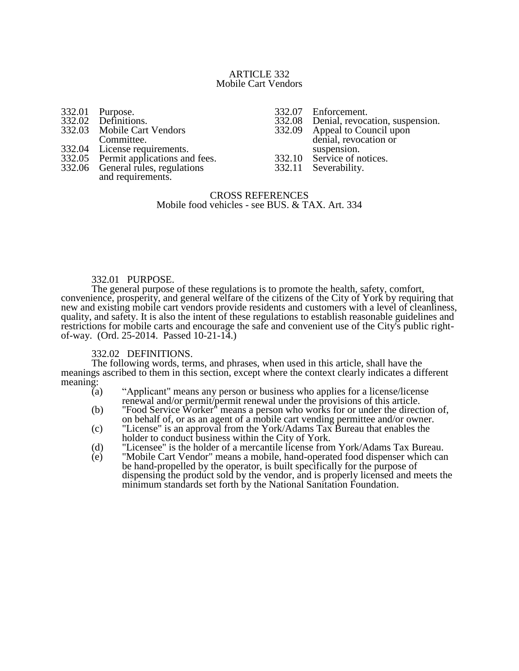### ARTICLE 332 Mobile Cart Vendors

|        | 332.01 Purpose.<br>332.02 Definitions. |
|--------|----------------------------------------|
|        |                                        |
| 332.03 | <b>Mobile Cart Vendors</b>             |
|        | Committee.                             |
| 332.04 | License requirements.                  |
| 332.05 | Permit applications and fees.          |
| 332.06 | General rules, regulations             |

and requirements.

332.07 Enforcement.<br>332.08 Denial, revoca

332.08 Denial, revocation, suspension.<br>332.09 Appeal to Council upon

Appeal to Council upon denial, revocation or suspension.

332.10 Service of notices.<br>332.11 Severability.

Severability.

# CROSS REFERENCES Mobile food vehicles - see BUS. & TAX. Art. 334

# 332.01 PURPOSE.

The general purpose of these regulations is to promote the health, safety, comfort, convenience, prosperity, and general welfare of the citizens of the City of York by requiring that new and existing mobile cart vendors provide residents and customers with a level of cleanliness, quality, and safety. It is also the intent of these regulations to establish reasonable guidelines and restrictions for mobile carts and encourage the safe and convenient use of the City's public rightof-way. (Ord. 25-2014. Passed 10-21-14.)

# 332.02 DEFINITIONS.

The following words, terms, and phrases, when used in this article, shall have the meanings ascribed to them in this section, except where the context clearly indicates a different meaning:

- (a) "Applicant" means any person or business who applies for a license/license renewal and/or permit/permit renewal under the provisions of this article.
- (b) "Food Service Worker" means a person who works for or under the direction of, on behalf of, or as an agent of a mobile cart vending permittee and/or owner.
- (c) "License" is an approval from the York/Adams Tax Bureau that enables the holder to conduct business within the City of York.
- (d) "Licensee" is the holder of a mercantile license from York/Adams Tax Bureau.<br>
(e) "Mobile Cart Vendor" means a mobile, hand-operated food dispenser which can
- "Mobile Cart Vendor" means a mobile, hand-operated food dispenser which can be hand-propelled by the operator, is built specifically for the purpose of dispensing the product sold by the vendor, and is properly licensed and meets the minimum standards set forth by the National Sanitation Foundation.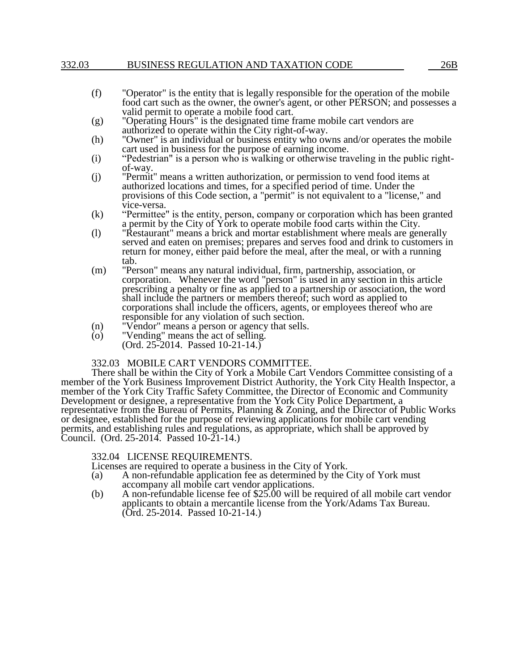# 332.03 BUSINESS REGULATION AND TAXATION CODE 26B

- (f) "Operator" is the entity that is legally responsible for the operation of the mobile food cart such as the owner, the owner's agent, or other PERSON; and possesses a valid permit to operate a mobile food cart.
- (g) "Operating Hours" is the designated time frame mobile cart vendors are authorized to operate within the City right-of-way.
- (h) "Owner" is an individual or business entity who owns and/or operates the mobile cart used in business for the purpose of earning income.
- (i) "Pedestrian" is a person who is walking or otherwise traveling in the public rightof-way.
- (j) "Permit" means a written authorization, or permission to vend food items at authorized locations and times, for a specified period of time. Under the provisions of this Code section, a "permit" is not equivalent to a "license," and vice-versa.
- (k) "Permittee" is the entity, person, company or corporation which has been granted a permit by the City of York to operate mobile food carts within the City.
- (l) "Restaurant" means a brick and mortar establishment where meals are generally served and eaten on premises; prepares and serves food and drink to customers in return for money, either paid before the meal, after the meal, or with a running tab.
- (m) "Person" means any natural individual, firm, partnership, association, or corporation. Whenever the word "person" is used in any section in this article prescribing a penalty or fine as applied to a partnership or association, the word shall include the partners or members thereof; such word as applied to corporations shall include the officers, agents, or employees thereof who are responsible for any violation of such section.
- (n) "Vendor" means a person or agency that sells.
- (o) "Vending" means the act of selling. (Ord. 25-2014. Passed 10-21-14.)

# 332.03 MOBILE CART VENDORS COMMITTEE.

There shall be within the City of York a Mobile Cart Vendors Committee consisting of a member of the York Business Improvement District Authority, the York City Health Inspector, a member of the York City Traffic Safety Committee, the Director of Economic and Community Development or designee, a representative from the York City Police Department, a representative from the Bureau of Permits, Planning & Zoning, and the Director of Public Works or designee, established for the purpose of reviewing applications for mobile cart vending permits, and establishing rules and regulations, as appropriate, which shall be approved by Council. (Ord. 25-2014. Passed 10-21-14.)

## 332.04 LICENSE REQUIREMENTS.

Licenses are required to operate a business in the City of York.

- (a) A non-refundable application fee as determined by the City of York must accompany all mobile cart vendor applications.
- (b) A non-refundable license fee of \$25.00 will be required of all mobile cart vendor applicants to obtain a mercantile license from the York/Adams Tax Bureau. (Ord. 25-2014. Passed 10-21-14.)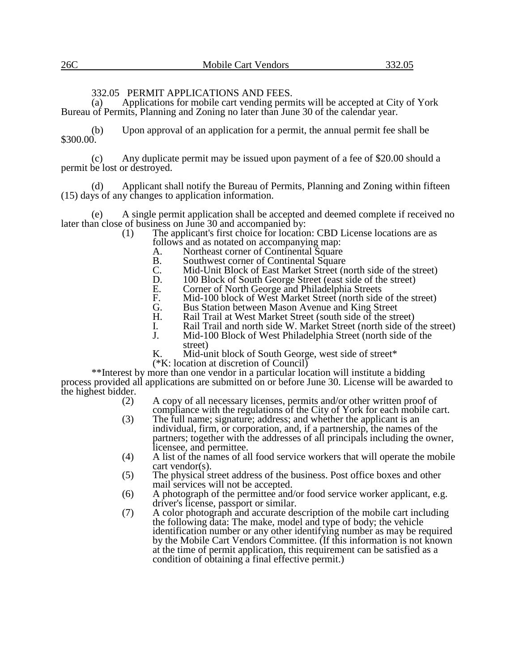# 332.05 PERMIT APPLICATIONS AND FEES.<br>(a) Applications for mobile cart vending perm

Applications for mobile cart vending permits will be accepted at City of York Bureau of Permits, Planning and Zoning no later than June 30 of the calendar year.

(b) Upon approval of an application for a permit, the annual permit fee shall be \$300.00.

(c) Any duplicate permit may be issued upon payment of a fee of \$20.00 should a permit be lost or destroyed.

(d) Applicant shall notify the Bureau of Permits, Planning and Zoning within fifteen (15) days of any changes to application information.

A single permit application shall be accepted and deemed complete if received no later than close of business on June 30 and accompanied by:<br>(1) The applicant's first choice for location

The applicant's first choice for location: CBD License locations are as follows and as notated on accompanying map:<br>A. Northeast corner of Continental Square

- A. Northeast corner of Continental Square<br>B. Southwest corner of Continental Square
- B. Southwest corner of Continental Square<br>C. Mid-Unit Block of East Market Street (n
- C. Mid-Unit Block of East Market Street (north side of the street)<br>D. 100 Block of South George Street (east side of the street)
- D. 100 Block of South George Street (east side of the street)<br>E. Corner of North George and Philadelphia Streets
- E. Corner of North George and Philadelphia Streets
- F. Mid-100 block of West Market Street (north side of the street)<br>G. Bus Station between Mason Avenue and King Street
- G. Bus Station between Mason Avenue and King Street<br>H. Rail Trail at West Market Street (south side of the stre
- H. Rail Trail at West Market Street (south side of the street)
- I. Rail Trail and north side W. Market Street (north side of the street)
- J. Mid-100 Block of West Philadelphia Street (north side of the street)
- K. Mid-unit block of South George, west side of street\*
- (\*K: location at discretion of Council)

\*\*Interest by more than one vendor in a particular location will institute a bidding process provided all applications are submitted on or before June 30. License will be awarded to the highest bidder.  $(2)$ 

A copy of all necessary licenses, permits and/or other written proof of compliance with the regulations of the City of York for each mobile cart.

- (3) The full name; signature; address; and whether the applicant is an individual, firm, or corporation, and, if a partnership, the names of the partners; together with the addresses of all principals including the owner, licensee, and permittee.
- (4) A list of the names of all food service workers that will operate the mobile cart vendor(s).
- (5) The physical street address of the business. Post office boxes and other mail services will not be accepted.
- (6) A photograph of the permittee and/or food service worker applicant, e.g. driver's license, passport or similar.
- (7) A color photograph and accurate description of the mobile cart including the following data: The make, model and type of body; the vehicle identification number or any other identifying number as may be required by the Mobile Cart Vendors Committee. (If this information is not known at the time of permit application, this requirement can be satisfied as a condition of obtaining a final effective permit.)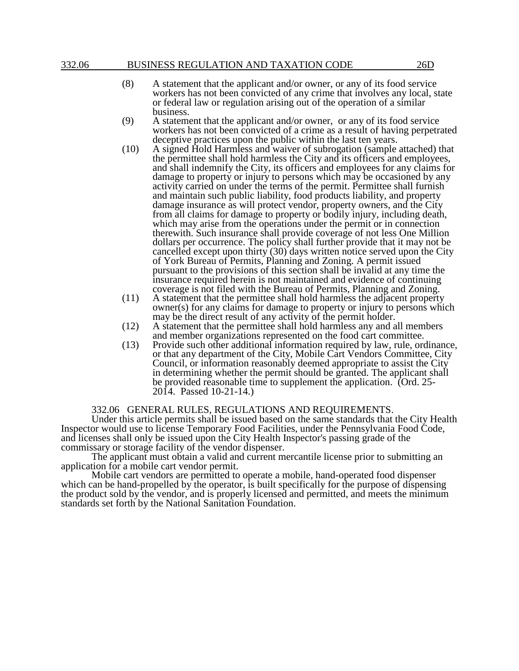### 332.06 BUSINESS REGULATION AND TAXATION CODE 26D

- (8) A statement that the applicant and/or owner, or any of its food service workers has not been convicted of any crime that involves any local, state or federal law or regulation arising out of the operation of a similar business.
- (9) A statement that the applicant and/or owner, or any of its food service workers has not been convicted of a crime as a result of having perpetrated deceptive practices upon the public within the last ten years.
- (10) A signed Hold Harmless and waiver of subrogation (sample attached) that the permittee shall hold harmless the City and its officers and employees, and shall indemnify the City, its officers and employees for any claims for damage to property or injury to persons which may be occasioned by any activity carried on under the terms of the permit. Permittee shall furnish and maintain such public liability, food products liability, and property damage insurance as will protect vendor, property owners, and the City from all claims for damage to property or bodily injury, including death, which may arise from the operations under the permit or in connection therewith. Such insurance shall provide coverage of not less One Million dollars per occurrence. The policy shall further provide that it may not be cancelled except upon thirty (30) days written notice served upon the City of York Bureau of Permits, Planning and Zoning. A permit issued pursuant to the provisions of this section shall be invalid at any time the insurance required herein is not maintained and evidence of continuing coverage is not filed with the Bureau of Permits, Planning and Zoning.
- (11) A statement that the permittee shall hold harmless the adjacent property owner(s) for any claims for damage to property or injury to persons which may be the direct result of any activity of the permit holder.
- (12) A statement that the permittee shall hold harmless any and all members and member organizations represented on the food cart committee.
- (13) Provide such other additional information required by law, rule, ordinance, or that any department of the City, Mobile Cart Vendors Committee, City Council, or information reasonably deemed appropriate to assist the City in determining whether the permit should be granted. The applicant shall be provided reasonable time to supplement the application. (Ord. 25- 2014. Passed 10-21-14.)

332.06 GENERAL RULES, REGULATIONS AND REQUIREMENTS.

Under this article permits shall be issued based on the same standards that the City Health Inspector would use to license Temporary Food Facilities, under the Pennsylvania Food Code, and licenses shall only be issued upon the City Health Inspector's passing grade of the commissary or storage facility of the vendor dispenser.

The applicant must obtain a valid and current mercantile license prior to submitting an application for a mobile cart vendor permit.

Mobile cart vendors are permitted to operate a mobile, hand-operated food dispenser which can be hand-propelled by the operator, is built specifically for the purpose of dispensing the product sold by the vendor, and is properly licensed and permitted, and meets the minimum standards set forth by the National Sanitation Foundation.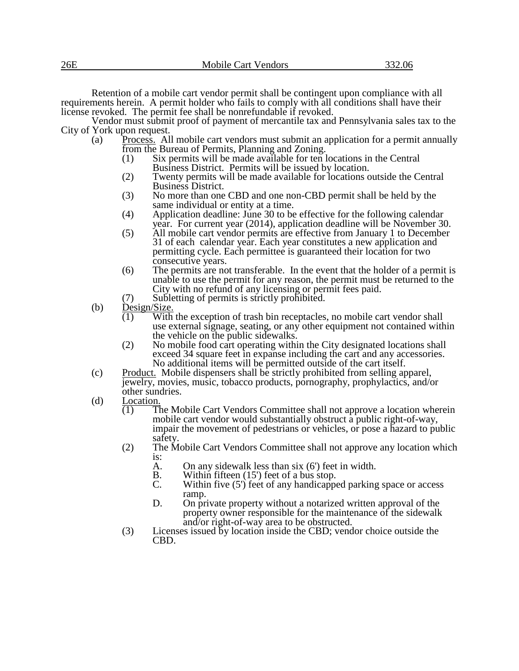Retention of a mobile cart vendor permit shall be contingent upon compliance with all requirements herein. A permit holder who fails to comply with all conditions shall have their license revoked. The permit fee shall be nonrefundable if revoked.

Vendor must submit proof of payment of mercantile tax and Pennsylvania sales tax to the City of York upon request.

- (a) Process. All mobile cart vendors must submit an application for a permit annually from the Bureau of Permits, Planning and Zoning.
	- (1) Six permits will be made available for ten locations in the Central Business District. Permits will be issued by location.
	- (2) Twenty permits will be made available for locations outside the Central Business District.
	- (3) No more than one CBD and one non-CBD permit shall be held by the same individual or entity at a time.
	- (4) Application deadline: June 30 to be effective for the following calendar year. For current year (2014), application deadline will be November 30.
	- (5) All mobile cart vendor permits are effective from January 1 to December 31 of each calendar year. Each year constitutes a new application and permitting cycle. Each permittee is guaranteed their location for two consecutive years.
	- (6) The permits are not transferable. In the event that the holder of a permit is unable to use the permit for any reason, the permit must be returned to the City with no refund of any licensing or permit fees paid.
	- (7) Subletting of permits is strictly prohibited.
- (b) Design/Size.
	- $\overline{(1)}$  With the exception of trash bin receptacles, no mobile cart vendor shall use external signage, seating, or any other equipment not contained within the vehicle on the public sidewalks.
	- (2) No mobile food cart operating within the City designated locations shall exceed 34 square feet in expanse including the cart and any accessories. No additional items will be permitted outside of the cart itself.
- (c) Product. Mobile dispensers shall be strictly prohibited from selling apparel, jewelry, movies, music, tobacco products, pornography, prophylactics, and/or other sundries.
- (d)  $\frac{\text{Location}}{(1) \quad \text{T}}$ 
	- The Mobile Cart Vendors Committee shall not approve a location wherein mobile cart vendor would substantially obstruct a public right-of-way, impair the movement of pedestrians or vehicles, or pose a hazard to public safety.
	- (2) The Mobile Cart Vendors Committee shall not approve any location which is:
		- A. On any sidewalk less than six (6') feet in width.<br>B. Within fifteen (15') feet of a bus stop.
		- B. Within fifteen  $(15')$  feet of a bus stop.<br>C. Within five  $(5')$  feet of any handicappe
		- Within five  $(5')$  feet of any handicapped parking space or access ramp.
		- D. On private property without a notarized written approval of the property owner responsible for the maintenance of the sidewalk and/or right-of-way area to be obstructed.
	- (3) Licenses issued by location inside the CBD; vendor choice outside the CBD.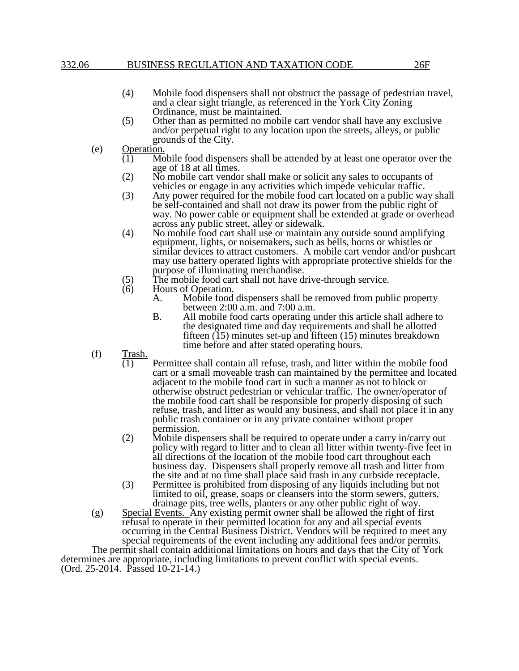## 332.06 BUSINESS REGULATION AND TAXATION CODE 26F

- (4) Mobile food dispensers shall not obstruct the passage of pedestrian travel, and a clear sight triangle, as referenced in the York City Zoning Ordinance, must be maintained.
- (5) Other than as permitted no mobile cart vendor shall have any exclusive and/or perpetual right to any location upon the streets, alleys, or public grounds of the City.
- (e)  $\frac{\text{Operation}}{(1)}$  Mo
	- Mobile food dispensers shall be attended by at least one operator over the age of 18 at all times.
	- (2) No mobile cart vendor shall make or solicit any sales to occupants of vehicles or engage in any activities which impede vehicular traffic.
	- (3) Any power required for the mobile food cart located on a public way shall be self-contained and shall not draw its power from the public right of way. No power cable or equipment shall be extended at grade or overhead across any public street, alley or sidewalk.
	- (4) No mobile food cart shall use or maintain any outside sound amplifying equipment, lights, or noisemakers, such as bells, horns or whistles or similar devices to attract customers. A mobile cart vendor and/or pushcart may use battery operated lights with appropriate protective shields for the purpose of illuminating merchandise.
	- (5) The mobile food cart shall not have drive-through service.<br>(6) Hours of Operation.
	- Hours of Operation.<br>A. Mobile food
		- Mobile food dispensers shall be removed from public property between 2:00 a.m. and 7:00 a.m.
		- B. All mobile food carts operating under this article shall adhere to the designated time and day requirements and shall be allotted fifteen (15) minutes set-up and fifteen (15) minutes breakdown time before and after stated operating hours.
- (f)  $\frac{\text{Trash.}}{(1)}$ 
	- Permittee shall contain all refuse, trash, and litter within the mobile food cart or a small moveable trash can maintained by the permittee and located adjacent to the mobile food cart in such a manner as not to block or otherwise obstruct pedestrian or vehicular traffic. The owner/operator of the mobile food cart shall be responsible for properly disposing of such refuse, trash, and litter as would any business, and shall not place it in any public trash container or in any private container without proper permission.
	- (2) Mobile dispensers shall be required to operate under a carry in/carry out policy with regard to litter and to clean all litter within twenty-five feet in all directions of the location of the mobile food cart throughout each business day. Dispensers shall properly remove all trash and litter from the site and at no time shall place said trash in any curbside receptacle.
	- (3) Permittee is prohibited from disposing of any liquids including but not limited to oil, grease, soaps or cleansers into the storm sewers, gutters, drainage pits, tree wells, planters or any other public right of way.
- (g) Special Events. Any existing permit owner shall be allowed the right of first refusal to operate in their permitted location for any and all special events occurring in the Central Business District. Vendors will be required to meet any special requirements of the event including any additional fees and/or permits.

The permit shall contain additional limitations on hours and days that the City of York determines are appropriate, including limitations to prevent conflict with special events. (Ord. 25-2014. Passed 10-21-14.)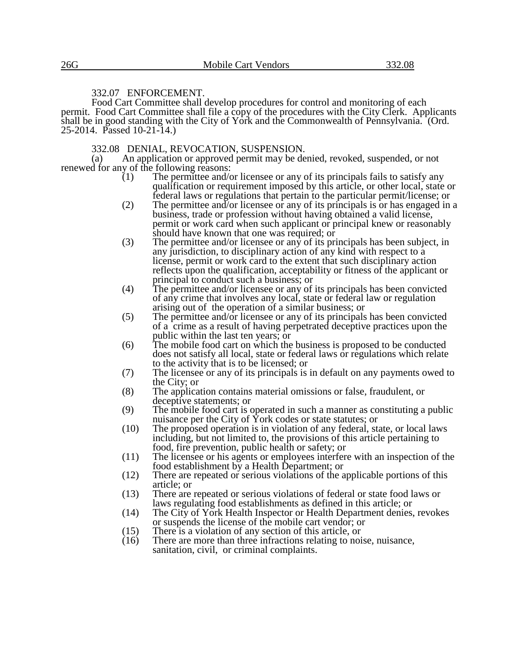# 332.07 ENFORCEMENT.

Food Cart Committee shall develop procedures for control and monitoring of each permit. Food Cart Committee shall file a copy of the procedures with the City Clerk. Applicants shall be in good standing with the City of York and the Commonwealth of Pennsylvania. (Ord. 25-2014. Passed 10-21-14.)

332.08 DENIAL, REVOCATION, SUSPENSION.

(a) An application or approved permit may be denied, revoked, suspended, or not renewed for any of the following reasons:<br>(1) The permittee and/c

- The permittee and/or licensee or any of its principals fails to satisfy any qualification or requirement imposed by this article, or other local, state or federal laws or regulations that pertain to the particular permit/license; or
- (2) The permittee and/or licensee or any of its principals is or has engaged in a business, trade or profession without having obtained a valid license, permit or work card when such applicant or principal knew or reasonably should have known that one was required; or
- (3) The permittee and/or licensee or any of its principals has been subject, in any jurisdiction, to disciplinary action of any kind with respect to a license, permit or work card to the extent that such disciplinary action reflects upon the qualification, acceptability or fitness of the applicant or principal to conduct such a business; or
- (4) The permittee and/or licensee or any of its principals has been convicted of any crime that involves any local, state or federal law or regulation arising out of the operation of a similar business; or
- (5) The permittee and/or licensee or any of its principals has been convicted of a crime as a result of having perpetrated deceptive practices upon the public within the last ten years; or
- (6) The mobile food cart on which the business is proposed to be conducted does not satisfy all local, state or federal laws or regulations which relate to the activity that is to be licensed; or
- (7) The licensee or any of its principals is in default on any payments owed to the City; or
- (8) The application contains material omissions or false, fraudulent, or deceptive statements; or
- (9) The mobile food cart is operated in such a manner as constituting a public nuisance per the City of York codes or state statutes; or
- (10) The proposed operation is in violation of any federal, state, or local laws including, but not limited to, the provisions of this article pertaining to food, fire prevention, public health or safety; or
- (11) The licensee or his agents or employees interfere with an inspection of the food establishment by a Health Department; or
- (12) There are repeated or serious violations of the applicable portions of this article; or
- (13) There are repeated or serious violations of federal or state food laws or laws regulating food establishments as defined in this article; or
- (14) The City of York Health Inspector or Health Department denies, revokes or suspends the license of the mobile cart vendor; or
- (15) There is a violation of any section of this article, or
- (16) There are more than three infractions relating to noise, nuisance, sanitation, civil, or criminal complaints.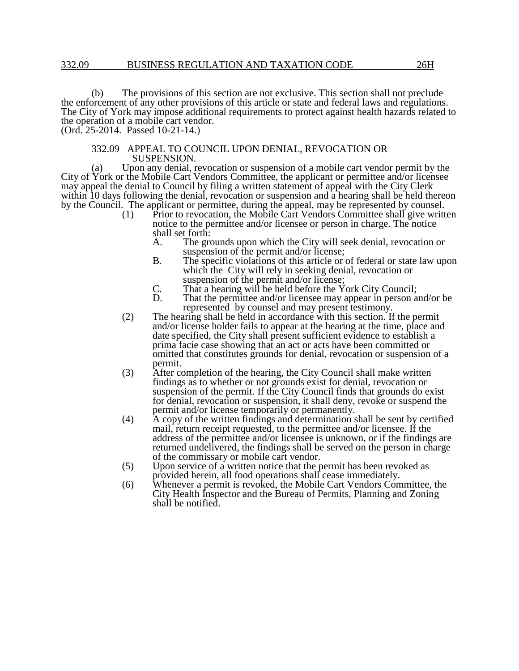(b) The provisions of this section are not exclusive. This section shall not preclude the enforcement of any other provisions of this article or state and federal laws and regulations. The City of York may impose additional requirements to protect against health hazards related to the operation of a mobile cart vendor. (Ord. 25-2014. Passed 10-21-14.)

#### 332.09 APPEAL TO COUNCIL UPON DENIAL, REVOCATION OR SUSPENSION.

(a) Upon any denial, revocation or suspension of a mobile cart vendor permit by the City of York or the Mobile Cart Vendors Committee, the applicant or permittee and/or licensee may appeal the denial to Council by filing a written statement of appeal with the City Clerk within 10 days following the denial, revocation or suspension and a hearing shall be held thereon by the Council. The applicant or permittee, during the appeal, may be represented by counsel.

(1) Prior to revocation, the Mobile Cart Vendors Committee shall give written notice to the permittee and/or licensee or person in charge. The notice shall set forth:<br>A. The gro

- The grounds upon which the City will seek denial, revocation or suspension of the permit and/or license;
- B. The specific violations of this article or of federal or state law upon which the City will rely in seeking denial, revocation or suspension of the permit and/or license;
- C. That a hearing will be held before the York City Council;
- That the permittee and/or licensee may appear in person and/or be represented by counsel and may present testimony.
- (2) The hearing shall be held in accordance with this section. If the permit and/or license holder fails to appear at the hearing at the time, place and date specified, the City shall present sufficient evidence to establish a prima facie case showing that an act or acts have been committed or omitted that constitutes grounds for denial, revocation or suspension of a permit.
- (3) After completion of the hearing, the City Council shall make written findings as to whether or not grounds exist for denial, revocation or suspension of the permit. If the City Council finds that grounds do exist for denial, revocation or suspension, it shall deny, revoke or suspend the permit and/or license temporarily or permanently.
- (4) A copy of the written findings and determination shall be sent by certified mail, return receipt requested, to the permittee and/or licensee. If the address of the permittee and/or licensee is unknown, or if the findings are returned undelivered, the findings shall be served on the person in charge of the commissary or mobile cart vendor.
- (5) Upon service of a written notice that the permit has been revoked as provided herein, all food operations shall cease immediately.
- (6) Whenever a permit is revoked, the Mobile Cart Vendors Committee, the City Health Inspector and the Bureau of Permits, Planning and Zoning shall be notified.